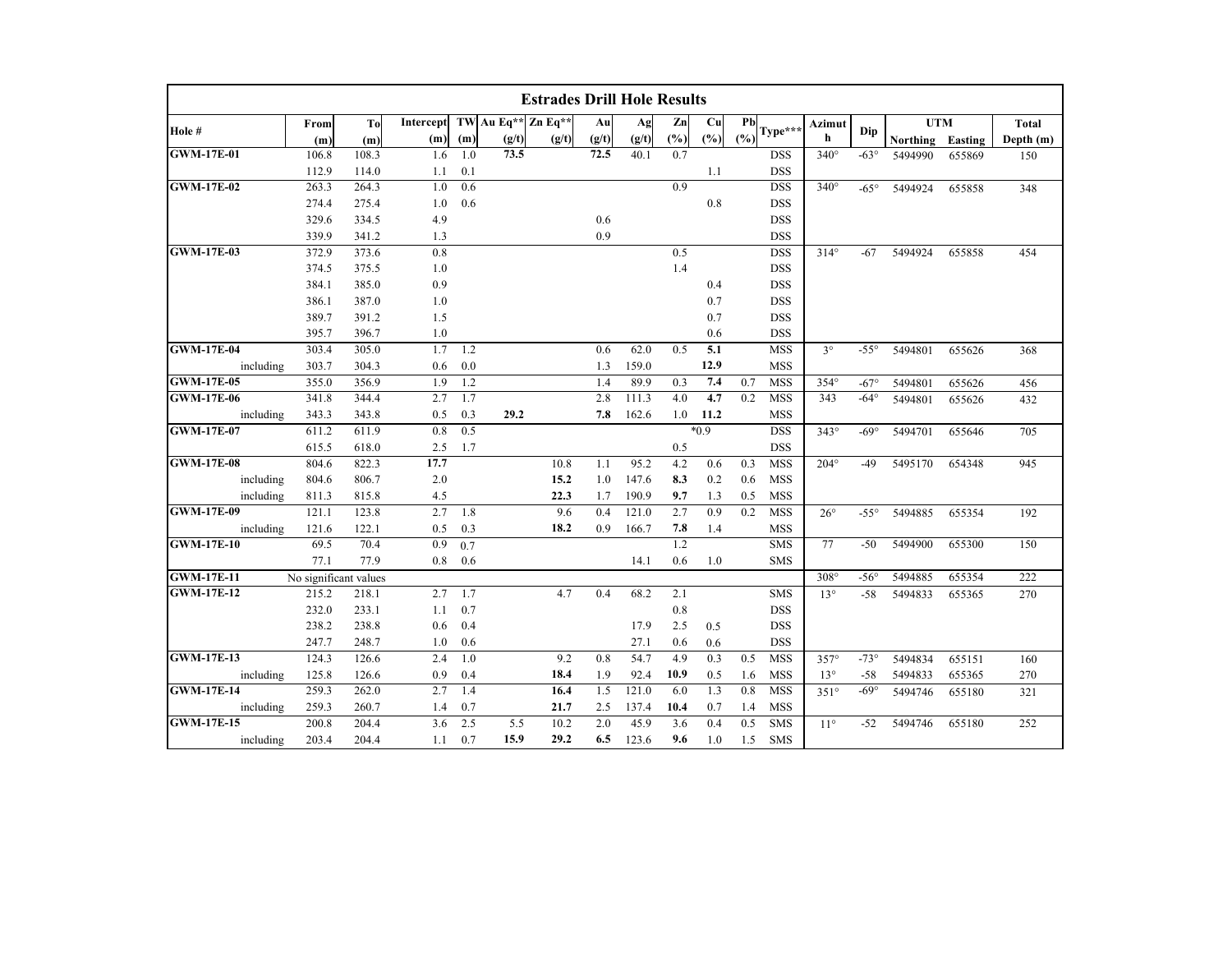| <b>Estrades Drill Hole Results</b> |                       |                |           |     |                    |       |       |       |        |        |     |                         |              |               |            |         |              |
|------------------------------------|-----------------------|----------------|-----------|-----|--------------------|-------|-------|-------|--------|--------|-----|-------------------------|--------------|---------------|------------|---------|--------------|
| Hole #                             | From                  | T <sub>o</sub> | Intercept |     | TW Au Eq** Zn Eq** |       | Au    | Ag    | Zn     | Cu     | Pb  | $Type***$               | Azimut       | Dip           | <b>UTM</b> |         | <b>Total</b> |
|                                    | (m)                   | (m)            | (m)       | (m) | (g/t)              | (g/t) | (g/t) | (g/t) | $(\%)$ | (%)    | (%) |                         | h            |               | Northing   | Easting | Depth (m)    |
| <b>GWM-17E-01</b>                  | 106.8                 | 108.3          | 1.6       | 1.0 | 73.5               |       | 72.5  | 40.1  | 0.7    |        |     | <b>DSS</b>              | $340^\circ$  | $-63^\circ$   | 5494990    | 655869  | 150          |
|                                    | 112.9                 | 114.0          | 1.1       | 0.1 |                    |       |       |       |        | 1.1    |     | <b>DSS</b>              |              |               |            |         |              |
| <b>GWM-17E-02</b>                  | 263.3                 | 264.3          | 1.0       | 0.6 |                    |       |       |       | 0.9    |        |     | <b>DSS</b>              | $340^\circ$  | $-65^\circ$   | 5494924    | 655858  | 348          |
|                                    | 274.4                 | 275.4          | 1.0       | 0.6 |                    |       |       |       |        | 0.8    |     | <b>DSS</b>              |              |               |            |         |              |
|                                    | 329.6                 | 334.5          | 4.9       |     |                    |       | 0.6   |       |        |        |     | <b>DSS</b>              |              |               |            |         |              |
|                                    | 339.9                 | 341.2          | 1.3       |     |                    |       | 0.9   |       |        |        |     | <b>DSS</b>              |              |               |            |         |              |
| <b>GWM-17E-03</b>                  | 372.9                 | 373.6          | 0.8       |     |                    |       |       |       | 0.5    |        |     | <b>DSS</b>              | $314^\circ$  | $-67$         | 5494924    | 655858  | 454          |
|                                    | 374.5                 | 375.5          | 1.0       |     |                    |       |       |       | 1.4    |        |     | <b>DSS</b>              |              |               |            |         |              |
|                                    | 384.1                 | 385.0          | 0.9       |     |                    |       |       |       |        | 0.4    |     | <b>DSS</b>              |              |               |            |         |              |
|                                    | 386.1                 | 387.0          | 1.0       |     |                    |       |       |       |        | 0.7    |     | <b>DSS</b>              |              |               |            |         |              |
|                                    | 389.7                 | 391.2          | 1.5       |     |                    |       |       |       |        | 0.7    |     | <b>DSS</b>              |              |               |            |         |              |
|                                    | 395.7                 | 396.7          | 1.0       |     |                    |       |       |       |        | 0.6    |     | <b>DSS</b>              |              |               |            |         |              |
| <b>GWM-17E-04</b>                  | 303.4                 | 305.0          | 1.7       | 1.2 |                    |       | 0.6   | 62.0  | 0.5    | 5.1    |     | <b>MSS</b>              | $3^\circ$    | $-55^{\circ}$ | 5494801    | 655626  | 368          |
| including                          | 303.7                 | 304.3          | 0.6       | 0.0 |                    |       | 1.3   | 159.0 |        | 12.9   |     | <b>MSS</b>              |              |               |            |         |              |
| <b>GWM-17E-05</b>                  | 355.0                 | 356.9          | 1.9       | 1.2 |                    |       | 1.4   | 89.9  | 0.3    | 7.4    | 0.7 | <b>MSS</b>              | 354°         | $-67^\circ$   | 5494801    | 655626  | 456          |
| <b>GWM-17E-06</b>                  | 341.8                 | 344.4          | 2.7       | 1.7 |                    |       | 2.8   | 111.3 | 4.0    | 4.7    | 0.2 | <b>MSS</b>              | 343          | $-64^\circ$   | 5494801    | 655626  | 432          |
| including                          | 343.3                 | 343.8          | 0.5       | 0.3 | 29.2               |       | 7.8   | 162.6 | 1.0    | 11.2   |     | <b>MSS</b>              |              |               |            |         |              |
| <b>GWM-17E-07</b>                  | 611.2                 | 611.9          | 0.8       | 0.5 |                    |       |       |       |        | $*0.9$ |     | <b>DSS</b>              | $343^\circ$  | $-69^\circ$   | 5494701    | 655646  | 705          |
|                                    | 615.5                 | 618.0          | 2.5       | 1.7 |                    |       |       |       | 0.5    |        |     | <b>DSS</b>              |              |               |            |         |              |
| <b>GWM-17E-08</b>                  | 804.6                 | 822.3          | 17.7      |     |                    | 10.8  | 1.1   | 95.2  | 4.2    | 0.6    | 0.3 | <b>MSS</b>              | $204^\circ$  | $-49$         | 5495170    | 654348  | 945          |
| including                          | 804.6                 | 806.7          | 2.0       |     |                    | 15.2  | 1.0   | 147.6 | 8.3    | 0.2    | 0.6 | <b>MSS</b>              |              |               |            |         |              |
| including                          | 811.3                 | 815.8          | 4.5       |     |                    | 22.3  | 1.7   | 190.9 | 9.7    | 1.3    | 0.5 | <b>MSS</b>              |              |               |            |         |              |
| <b>GWM-17E-09</b>                  | 121.1                 | 123.8          | 2.7       | 1.8 |                    | 9.6   | 0.4   | 121.0 | 2.7    | 0.9    | 0.2 | <b>MSS</b>              | $26^{\circ}$ | $-55^\circ$   | 5494885    | 655354  | 192          |
| including                          | 121.6                 | 122.1          | 0.5       | 0.3 |                    | 18.2  | 0.9   | 166.7 | 7.8    | 1.4    |     | MSS                     |              |               |            |         |              |
| <b>GWM-17E-10</b>                  | 69.5                  | 70.4           | 0.9       | 0.7 |                    |       |       |       | 1.2    |        |     | $\overline{\text{SMS}}$ | 77           | $-50$         | 5494900    | 655300  | 150          |
|                                    | 77.1                  | 77.9           | 0.8       | 0.6 |                    |       |       | 14.1  | 0.6    | 1.0    |     | <b>SMS</b>              |              |               |            |         |              |
| <b>GWM-17E-11</b>                  | No significant values |                |           |     |                    |       |       |       |        |        |     |                         | $308^\circ$  | $-56^\circ$   | 5494885    | 655354  | 222          |
| <b>GWM-17E-12</b>                  | 215.2                 | 218.1          | 2.7       | 1.7 |                    | 4.7   | 0.4   | 68.2  | 2.1    |        |     | <b>SMS</b>              | $13^\circ$   | $-58$         | 5494833    | 655365  | 270          |
|                                    | 232.0                 | 233.1          | 1.1       | 0.7 |                    |       |       |       | 0.8    |        |     | <b>DSS</b>              |              |               |            |         |              |
|                                    | 238.2                 | 238.8          | 0.6       | 0.4 |                    |       |       | 17.9  | 2.5    | 0.5    |     | <b>DSS</b>              |              |               |            |         |              |
|                                    | 247.7                 | 248.7          | 1.0       | 0.6 |                    |       |       | 27.1  | 0.6    | 0.6    |     | <b>DSS</b>              |              |               |            |         |              |
| <b>GWM-17E-13</b>                  | 124.3                 | 126.6          | 2.4       | 1.0 |                    | 9.2   | 0.8   | 54.7  | 4.9    | 0.3    | 0.5 | <b>MSS</b>              | 357°         | $-73^\circ$   | 5494834    | 655151  | 160          |
| including                          | 125.8                 | 126.6          | 0.9       | 0.4 |                    | 18.4  | 1.9   | 92.4  | 10.9   | 0.5    | 1.6 | <b>MSS</b>              | $13^{\circ}$ | $-58$         | 5494833    | 655365  | 270          |
| <b>GWM-17E-14</b>                  | 259.3                 | 262.0          | 2.7       | 1.4 |                    | 16.4  | 1.5   | 121.0 | 6.0    | 1.3    | 0.8 | <b>MSS</b>              | $351^\circ$  | $-69^\circ$   | 5494746    | 655180  | 321          |
| including                          | 259.3                 | 260.7          | 1.4       | 0.7 |                    | 21.7  | 2.5   | 137.4 | 10.4   | 0.7    | 1.4 | <b>MSS</b>              |              |               |            |         |              |
| <b>GWM-17E-15</b>                  | 200.8                 | 204.4          | 3.6       | 2.5 | 5.5                | 10.2  | 2.0   | 45.9  | 3.6    | 0.4    | 0.5 | <b>SMS</b>              | $11^{\circ}$ | $-52$         | 5494746    | 655180  | 252          |
| including                          | 203.4                 | 204.4          | 1.1       | 0.7 | 15.9               | 29.2  | 6.5   | 123.6 | 9.6    | 1.0    | 1.5 | <b>SMS</b>              |              |               |            |         |              |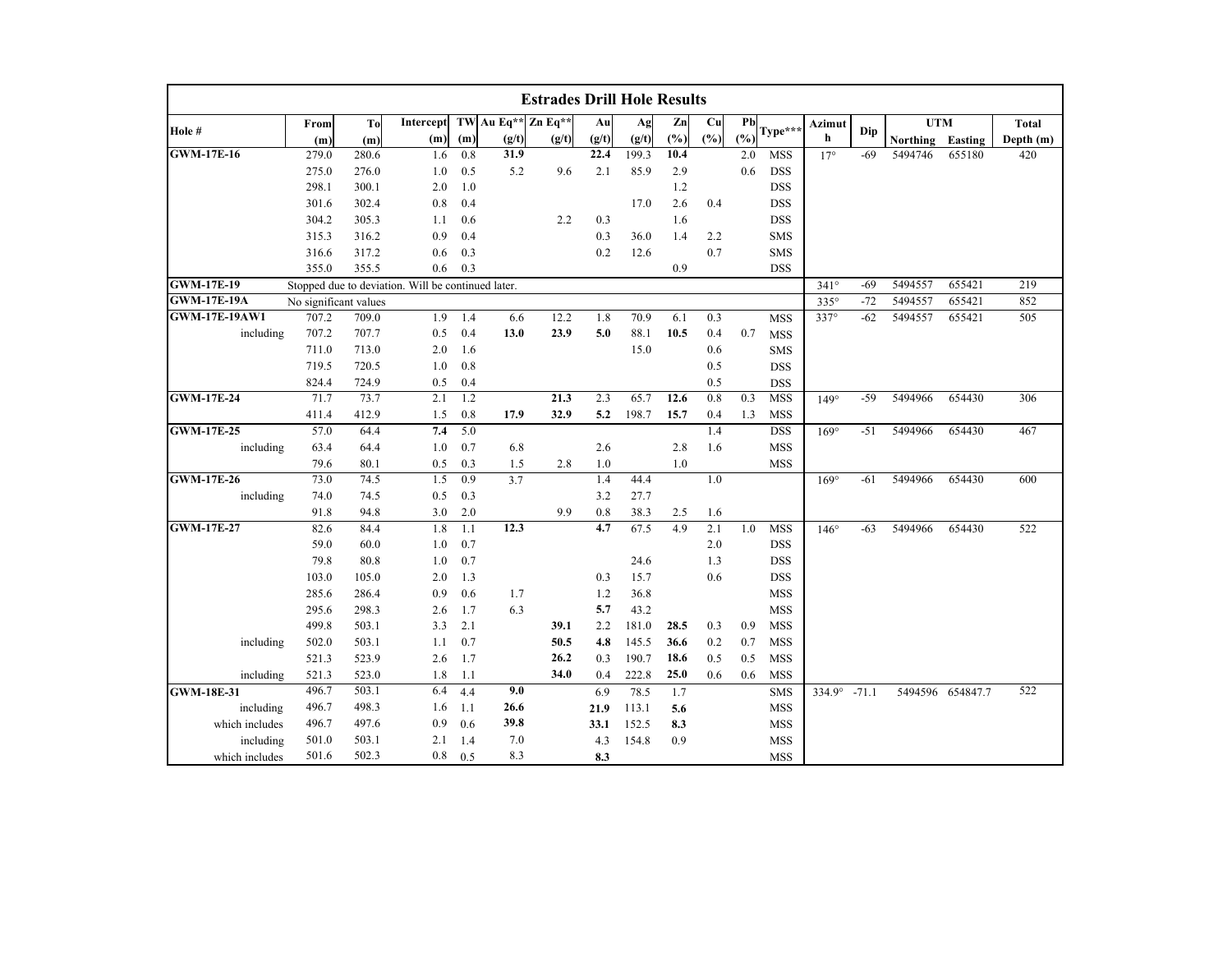| <b>Estrades Drill Hole Results</b> |                       |              |                                                    |            |                    |       |       |       |      |            |     |                          |                       |       |            |                  |           |
|------------------------------------|-----------------------|--------------|----------------------------------------------------|------------|--------------------|-------|-------|-------|------|------------|-----|--------------------------|-----------------------|-------|------------|------------------|-----------|
|                                    | From                  | To           | Intercept                                          |            | TW Au Eq** Zn Eq** |       | Au    | Ag    | Zn   | Cu         | Pb  |                          | Azimut                |       | <b>UTM</b> |                  | Total     |
| Hole #                             | (m)                   | (m)          | (m)                                                | (m)        | (g/t)              | (g/t) | (g/t) | (g/t) | (%)  | (%)        | (%) | Type***                  | h                     | Dip   | Northing   | Easting          | Depth (m) |
| <b>GWM-17E-16</b>                  | 279.0                 | 280.6        | 1.6                                                | 0.8        | 31.9               |       | 22.4  | 199.3 | 10.4 |            | 2.0 | <b>MSS</b>               | $17^\circ$            | $-69$ | 5494746    | 655180           | 420       |
|                                    | 275.0                 | 276.0        | 1.0                                                | 0.5        | 5.2                | 9.6   | 2.1   | 85.9  | 2.9  |            | 0.6 | <b>DSS</b>               |                       |       |            |                  |           |
|                                    | 298.1                 | 300.1        | 2.0                                                | 1.0        |                    |       |       |       | 1.2  |            |     | <b>DSS</b>               |                       |       |            |                  |           |
|                                    | 301.6                 | 302.4        | 0.8                                                | 0.4        |                    |       |       | 17.0  | 2.6  | 0.4        |     | <b>DSS</b>               |                       |       |            |                  |           |
|                                    | 304.2                 | 305.3        | 1.1                                                | 0.6        |                    | 2.2   | 0.3   |       | 1.6  |            |     | <b>DSS</b>               |                       |       |            |                  |           |
|                                    | 315.3                 | 316.2        | 0.9                                                | 0.4        |                    |       | 0.3   | 36.0  | 1.4  | 2.2        |     | <b>SMS</b>               |                       |       |            |                  |           |
|                                    | 316.6                 | 317.2        | 0.6                                                | 0.3        |                    |       | 0.2   | 12.6  |      | 0.7        |     | <b>SMS</b>               |                       |       |            |                  |           |
|                                    | 355.0                 | 355.5        | 0.6                                                | 0.3        |                    |       |       |       | 0.9  |            |     | <b>DSS</b>               |                       |       |            |                  |           |
| <b>GWM-17E-19</b>                  |                       |              | Stopped due to deviation. Will be continued later. |            |                    |       |       |       |      |            |     |                          | $341^\circ$           | $-69$ | 5494557    | 655421           | 219       |
| <b>GWM-17E-19A</b>                 | No significant values |              |                                                    |            |                    |       |       |       |      |            |     |                          | 335°                  | $-72$ | 5494557    | 655421           | 852       |
| <b>GWM-17E-19AW1</b>               | 707.2                 | 709.0        | 1.9                                                | 1.4        | 6.6                | 12.2  | 1.8   | 70.9  | 6.1  | 0.3        |     | <b>MSS</b>               | 337°                  | $-62$ | 5494557    | 655421           | 505       |
| including                          | 707.2                 | 707.7        | 0.5                                                | 0.4        | 13.0               | 23.9  | 5.0   | 88.1  | 10.5 | 0.4        | 0.7 | <b>MSS</b>               |                       |       |            |                  |           |
|                                    | 711.0                 | 713.0        | 2.0                                                | 1.6        |                    |       |       | 15.0  |      | 0.6        |     | <b>SMS</b>               |                       |       |            |                  |           |
|                                    | 719.5                 | 720.5        | 1.0                                                | 0.8        |                    |       |       |       |      | 0.5        |     | <b>DSS</b>               |                       |       |            |                  |           |
|                                    | 824.4                 | 724.9        | 0.5                                                | 0.4        |                    |       |       |       |      | 0.5        |     | <b>DSS</b>               |                       |       |            |                  |           |
| <b>GWM-17E-24</b>                  | 71.7                  | 73.7         | 2.1                                                | 1.2        |                    | 21.3  | 2.3   | 65.7  | 12.6 | 0.8        | 0.3 | <b>MSS</b>               | $149^\circ$           | $-59$ | 5494966    | 654430           | 306       |
| <b>GWM-17E-25</b>                  | 411.4                 | 412.9        | 1.5<br>7.4                                         | 0.8<br>5.0 | 17.9               | 32.9  | 5.2   | 198.7 | 15.7 | 0.4        | 1.3 | <b>MSS</b>               |                       |       |            |                  |           |
| including                          | 57.0<br>63.4          | 64.4<br>64.4 | 1.0                                                | 0.7        | 6.8                |       | 2.6   |       | 2.8  | 1.4<br>1.6 |     | <b>DSS</b><br><b>MSS</b> | $169^\circ$           | $-51$ | 5494966    | 654430           | 467       |
|                                    | 79.6                  | 80.1         | 0.5                                                | 0.3        | 1.5                | 2.8   | 1.0   |       | 1.0  |            |     | <b>MSS</b>               |                       |       |            |                  |           |
| <b>GWM-17E-26</b>                  | 73.0                  | 74.5         | 1.5                                                | 0.9        | 3.7                |       | 1.4   | 44.4  |      | 1.0        |     |                          | $169^\circ$           | $-61$ | 5494966    | 654430           | 600       |
| including                          | 74.0                  | 74.5         | 0.5                                                | 0.3        |                    |       | 3.2   | 27.7  |      |            |     |                          |                       |       |            |                  |           |
|                                    | 91.8                  | 94.8         | 3.0                                                | 2.0        |                    | 9.9   | 0.8   | 38.3  | 2.5  | 1.6        |     |                          |                       |       |            |                  |           |
| <b>GWM-17E-27</b>                  | 82.6                  | 84.4         | 1.8                                                | 1.1        | 12.3               |       | 4.7   | 67.5  | 4.9  | 2.1        | 1.0 | MSS                      | $146^\circ$           | $-63$ | 5494966    | 654430           | 522       |
|                                    | 59.0                  | 60.0         | 1.0                                                | 0.7        |                    |       |       |       |      | 2.0        |     | <b>DSS</b>               |                       |       |            |                  |           |
|                                    | 79.8                  | 80.8         | 1.0                                                | 0.7        |                    |       |       | 24.6  |      | 1.3        |     | <b>DSS</b>               |                       |       |            |                  |           |
|                                    | 103.0                 | 105.0        | 2.0                                                | 1.3        |                    |       | 0.3   | 15.7  |      | 0.6        |     | <b>DSS</b>               |                       |       |            |                  |           |
|                                    | 285.6                 | 286.4        | 0.9                                                | 0.6        | 1.7                |       | 1.2   | 36.8  |      |            |     | <b>MSS</b>               |                       |       |            |                  |           |
|                                    | 295.6                 | 298.3        | 2.6                                                | 1.7        | 6.3                |       | 5.7   | 43.2  |      |            |     | <b>MSS</b>               |                       |       |            |                  |           |
|                                    | 499.8                 | 503.1        | 3.3                                                | 2.1        |                    | 39.1  | 2.2   | 181.0 | 28.5 | 0.3        | 0.9 | <b>MSS</b>               |                       |       |            |                  |           |
| including                          | 502.0                 | 503.1        | 1.1                                                | 0.7        |                    | 50.5  | 4.8   | 145.5 | 36.6 | 0.2        | 0.7 | <b>MSS</b>               |                       |       |            |                  |           |
|                                    | 521.3                 | 523.9        | 2.6                                                | 1.7        |                    | 26.2  | 0.3   | 190.7 | 18.6 | 0.5        | 0.5 | <b>MSS</b>               |                       |       |            |                  |           |
| including                          | 521.3                 | 523.0        | 1.8                                                | 1.1        |                    | 34.0  | 0.4   | 222.8 | 25.0 | 0.6        | 0.6 | <b>MSS</b>               |                       |       |            |                  |           |
| <b>GWM-18E-31</b>                  | 496.7                 | 503.1        | 6.4                                                | 4.4        | 9.0                |       | 6.9   | 78.5  | 1.7  |            |     | SMS                      | $334.9^{\circ}$ -71.1 |       |            | 5494596 654847.7 | 522       |
| including                          | 496.7                 | 498.3        | 1.6                                                | 1.1        | 26.6               |       | 21.9  | 113.1 | 5.6  |            |     | <b>MSS</b>               |                       |       |            |                  |           |
| which includes                     | 496.7                 | 497.6        | 0.9                                                | 0.6        | 39.8               |       | 33.1  | 152.5 | 8.3  |            |     | <b>MSS</b>               |                       |       |            |                  |           |
| including                          | 501.0                 | 503.1        | 2.1                                                | 1.4        | 7.0                |       | 4.3   | 154.8 | 0.9  |            |     | <b>MSS</b>               |                       |       |            |                  |           |
| which includes                     | 501.6                 | 502.3        | 0.8                                                | 0.5        | 8.3                |       | 8.3   |       |      |            |     | <b>MSS</b>               |                       |       |            |                  |           |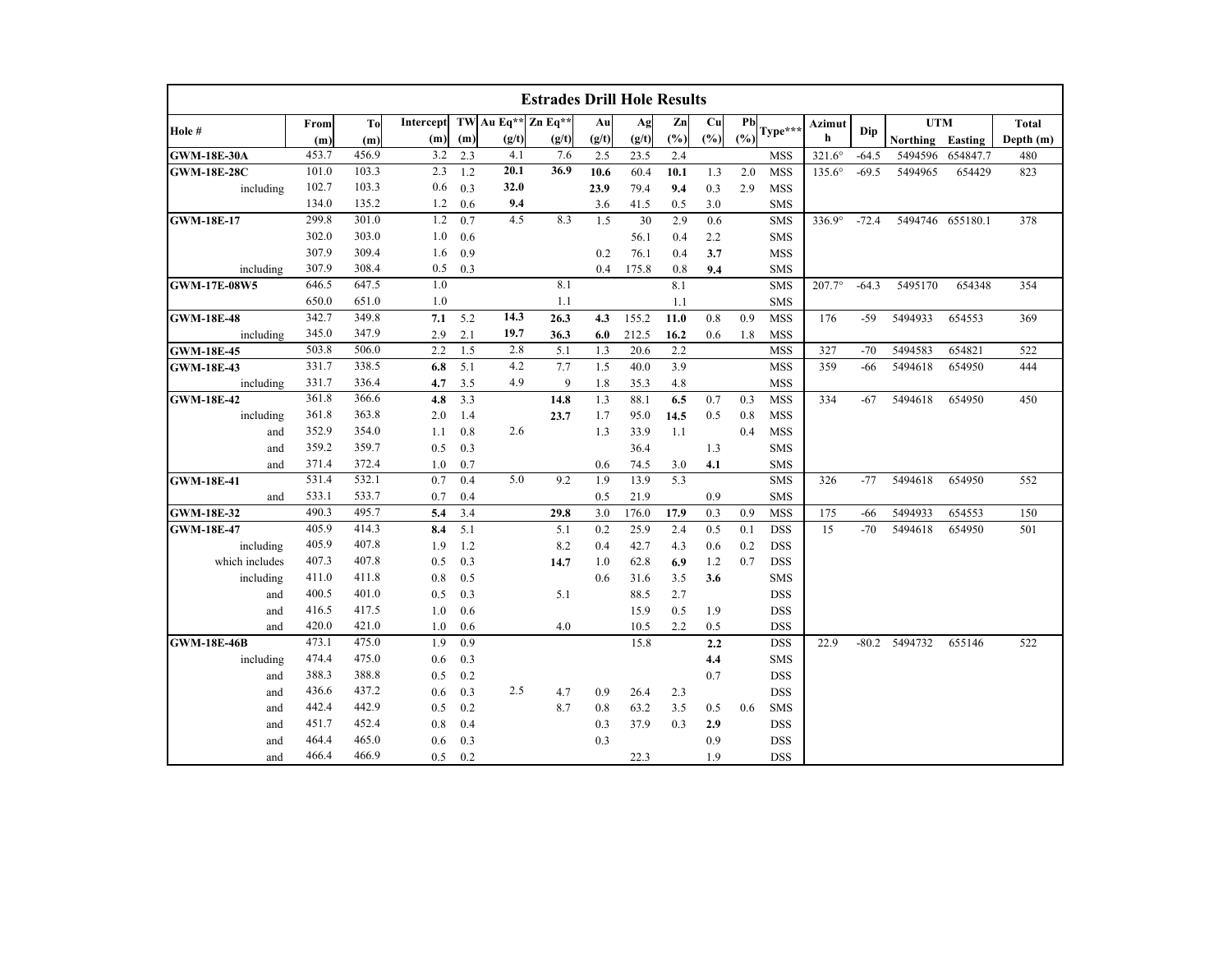| <b>Estrades Drill Hole Results</b> |       |       |           |     |                    |       |       |       |      |     |     |            |                 |         |            |                  |              |
|------------------------------------|-------|-------|-----------|-----|--------------------|-------|-------|-------|------|-----|-----|------------|-----------------|---------|------------|------------------|--------------|
|                                    | From  | To    | Intercept |     | TW Au Eq** Zn Eq** |       | Au    | Ag    | Zn   | Cu  | Pb  |            | Azimut          |         | <b>UTM</b> |                  | <b>Total</b> |
| Hole #                             | (m)   | (m)   | (m)       | (m) | (g/t)              | (g/t) | (g/t) | (g/t) | (%)  | (%) | (%) | Type***    | h               | Dip     | Northing   | Easting          | Depth $(m)$  |
| <b>GWM-18E-30A</b>                 | 453.7 | 456.9 | 3.2       | 2.3 | 4.1                | 7.6   | 2.5   | 23.5  | 2.4  |     |     | <b>MSS</b> | $321.6^\circ$   | $-64.5$ | 5494596    | 654847.7         | 480          |
| <b>GWM-18E-28C</b>                 | 101.0 | 103.3 | 2.3       | 1.2 | 20.1               | 36.9  | 10.6  | 60.4  | 10.1 | 1.3 | 2.0 | <b>MSS</b> | $135.6^\circ$   | $-69.5$ | 5494965    | 654429           | 823          |
| including                          | 102.7 | 103.3 | 0.6       | 0.3 | 32.0               |       | 23.9  | 79.4  | 9.4  | 0.3 | 2.9 | <b>MSS</b> |                 |         |            |                  |              |
|                                    | 134.0 | 135.2 | 1.2       | 0.6 | 9.4                |       | 3.6   | 41.5  | 0.5  | 3.0 |     | <b>SMS</b> |                 |         |            |                  |              |
| <b>GWM-18E-17</b>                  | 299.8 | 301.0 | 1.2       | 0.7 | 4.5                | 8.3   | 1.5   | 30    | 2.9  | 0.6 |     | <b>SMS</b> | $336.9^{\circ}$ | $-72.4$ |            | 5494746 655180.1 | 378          |
|                                    | 302.0 | 303.0 | 1.0       | 0.6 |                    |       |       | 56.1  | 0.4  | 2.2 |     | <b>SMS</b> |                 |         |            |                  |              |
|                                    | 307.9 | 309.4 | 1.6       | 0.9 |                    |       | 0.2   | 76.1  | 0.4  | 3.7 |     | <b>MSS</b> |                 |         |            |                  |              |
| including                          | 307.9 | 308.4 | 0.5       | 0.3 |                    |       | 0.4   | 175.8 | 0.8  | 9.4 |     | <b>SMS</b> |                 |         |            |                  |              |
| <b>GWM-17E-08W5</b>                | 646.5 | 647.5 | 1.0       |     |                    | 8.1   |       |       | 8.1  |     |     | <b>SMS</b> | 207.7°          | $-64.3$ | 5495170    | 654348           | 354          |
|                                    | 650.0 | 651.0 | 1.0       |     |                    | 1.1   |       |       | 1.1  |     |     | <b>SMS</b> |                 |         |            |                  |              |
| <b>GWM-18E-48</b>                  | 342.7 | 349.8 | 7.1       | 5.2 | 14.3               | 26.3  | 4.3   | 155.2 | 11.0 | 0.8 | 0.9 | <b>MSS</b> | 176             | $-59$   | 5494933    | 654553           | 369          |
| including                          | 345.0 | 347.9 | 2.9       | 2.1 | 19.7               | 36.3  | 6.0   | 212.5 | 16.2 | 0.6 | 1.8 | <b>MSS</b> |                 |         |            |                  |              |
| <b>GWM-18E-45</b>                  | 503.8 | 506.0 | 2.2       | 1.5 | 2.8                | 5.1   | 1.3   | 20.6  | 2.2  |     |     | <b>MSS</b> | 327             | $-70$   | 5494583    | 654821           | 522          |
| <b>GWM-18E-43</b>                  | 331.7 | 338.5 | 6.8       | 5.1 | 4.2                | 7.7   | 1.5   | 40.0  | 3.9  |     |     | <b>MSS</b> | 359             | -66     | 5494618    | 654950           | 444          |
| including                          | 331.7 | 336.4 | 4.7       | 3.5 | 4.9                | 9     | 1.8   | 35.3  | 4.8  |     |     | MSS        |                 |         |            |                  |              |
| <b>GWM-18E-42</b>                  | 361.8 | 366.6 | 4.8       | 3.3 |                    | 14.8  | 1.3   | 88.1  | 6.5  | 0.7 | 0.3 | <b>MSS</b> | 334             | $-67$   | 5494618    | 654950           | 450          |
| including                          | 361.8 | 363.8 | 2.0       | 1.4 |                    | 23.7  | 1.7   | 95.0  | 14.5 | 0.5 | 0.8 | <b>MSS</b> |                 |         |            |                  |              |
| and                                | 352.9 | 354.0 | 1.1       | 0.8 | 2.6                |       | 1.3   | 33.9  | 1.1  |     | 0.4 | <b>MSS</b> |                 |         |            |                  |              |
| and                                | 359.2 | 359.7 | 0.5       | 0.3 |                    |       |       | 36.4  |      | 1.3 |     | <b>SMS</b> |                 |         |            |                  |              |
| and                                | 371.4 | 372.4 | 1.0       | 0.7 |                    |       | 0.6   | 74.5  | 3.0  | 4.1 |     | <b>SMS</b> |                 |         |            |                  |              |
| <b>GWM-18E-41</b>                  | 531.4 | 532.1 | 0.7       | 0.4 | 5.0                | 9.2   | 1.9   | 13.9  | 5.3  |     |     | <b>SMS</b> | 326             | $-77$   | 5494618    | 654950           | 552          |
| and                                | 533.1 | 533.7 | 0.7       | 0.4 |                    |       | 0.5   | 21.9  |      | 0.9 |     | <b>SMS</b> |                 |         |            |                  |              |
| <b>GWM-18E-32</b>                  | 490.3 | 495.7 | 5.4       | 3.4 |                    | 29.8  | 3.0   | 176.0 | 17.9 | 0.3 | 0.9 | <b>MSS</b> | 175             | $-66$   | 5494933    | 654553           | 150          |
| <b>GWM-18E-47</b>                  | 405.9 | 414.3 | 8.4       | 5.1 |                    | 5.1   | 0.2   | 25.9  | 2.4  | 0.5 | 0.1 | <b>DSS</b> | 15              | $-70$   | 5494618    | 654950           | 501          |
| including                          | 405.9 | 407.8 | 1.9       | 1.2 |                    | 8.2   | 0.4   | 42.7  | 4.3  | 0.6 | 0.2 | <b>DSS</b> |                 |         |            |                  |              |
| which includes                     | 407.3 | 407.8 | 0.5       | 0.3 |                    | 14.7  | 1.0   | 62.8  | 6.9  | 1.2 | 0.7 | <b>DSS</b> |                 |         |            |                  |              |
| including                          | 411.0 | 411.8 | 0.8       | 0.5 |                    |       | 0.6   | 31.6  | 3.5  | 3.6 |     | <b>SMS</b> |                 |         |            |                  |              |
| and                                | 400.5 | 401.0 | 0.5       | 0.3 |                    | 5.1   |       | 88.5  | 2.7  |     |     | <b>DSS</b> |                 |         |            |                  |              |
| and                                | 416.5 | 417.5 | 1.0       | 0.6 |                    |       |       | 15.9  | 0.5  | 1.9 |     | <b>DSS</b> |                 |         |            |                  |              |
| and                                | 420.0 | 421.0 | 1.0       | 0.6 |                    | 4.0   |       | 10.5  | 2.2  | 0.5 |     | <b>DSS</b> |                 |         |            |                  |              |
| <b>GWM-18E-46B</b>                 | 473.1 | 475.0 | 1.9       | 0.9 |                    |       |       | 15.8  |      | 2.2 |     | <b>DSS</b> | 22.9            | $-80.2$ | 5494732    | 655146           | 522          |
| including                          | 474.4 | 475.0 | 0.6       | 0.3 |                    |       |       |       |      | 4.4 |     | <b>SMS</b> |                 |         |            |                  |              |
| and                                | 388.3 | 388.8 | 0.5       | 0.2 |                    |       |       |       |      | 0.7 |     | <b>DSS</b> |                 |         |            |                  |              |
| and                                | 436.6 | 437.2 | 0.6       | 0.3 | 2.5                | 4.7   | 0.9   | 26.4  | 2.3  |     |     | <b>DSS</b> |                 |         |            |                  |              |
| and                                | 442.4 | 442.9 | 0.5       | 0.2 |                    | 8.7   | 0.8   | 63.2  | 3.5  | 0.5 | 0.6 | <b>SMS</b> |                 |         |            |                  |              |
| and                                | 451.7 | 452.4 | 0.8       | 0.4 |                    |       | 0.3   | 37.9  | 0.3  | 2.9 |     | <b>DSS</b> |                 |         |            |                  |              |
| and                                | 464.4 | 465.0 | 0.6       | 0.3 |                    |       | 0.3   |       |      | 0.9 |     | <b>DSS</b> |                 |         |            |                  |              |
| and                                | 466.4 | 466.9 | 0.5       | 0.2 |                    |       |       | 22.3  |      | 1.9 |     | <b>DSS</b> |                 |         |            |                  |              |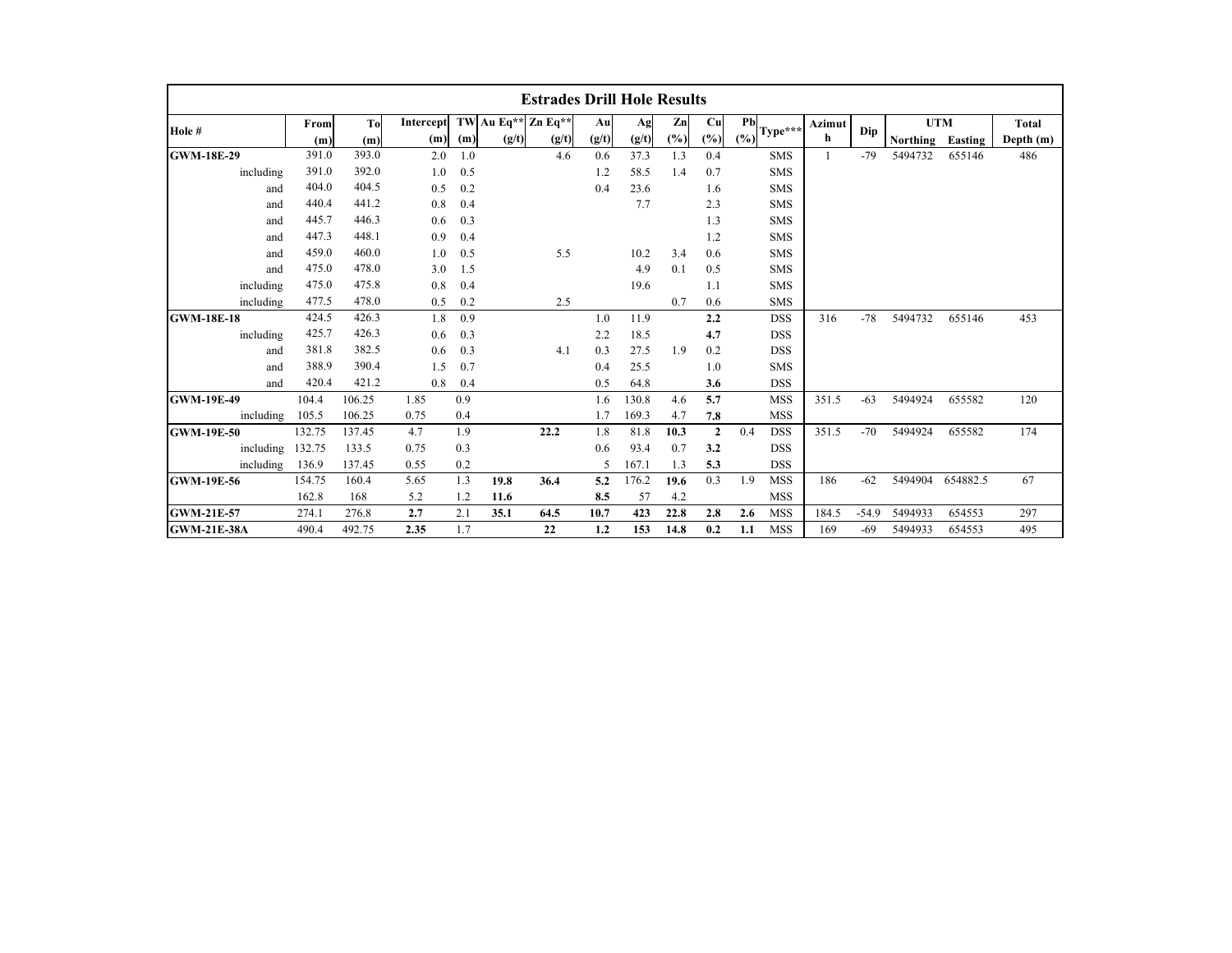|                    | <b>Estrades Drill Hole Results</b> |        |           |     |                    |       |       |       |      |              |                          |        |         |            |          |              |
|--------------------|------------------------------------|--------|-----------|-----|--------------------|-------|-------|-------|------|--------------|--------------------------|--------|---------|------------|----------|--------------|
| Hole #             | From                               | To     | Intercept |     | TW Au Eq** Zn Eq** |       | Au    | Ag    | Zn   | Cu           | Pb<br>${\bf Type}^{***}$ | Azimut | Dip     | <b>UTM</b> |          | <b>Total</b> |
|                    | (m)                                | (m)    | (m)       | (m) | (g/t)              | (g/t) | (g/t) | (g/t) | (%)  | $(\%)$       | (%)                      | h      |         | Northing   | Easting  | Depth (m)    |
| <b>GWM-18E-29</b>  | 391.0                              | 393.0  | 2.0       | 1.0 |                    | 4.6   | 0.6   | 37.3  | 1.3  | 0.4          | <b>SMS</b>               |        | $-79$   | 5494732    | 655146   | 486          |
| including          | 391.0                              | 392.0  | 1.0       | 0.5 |                    |       | 1.2   | 58.5  | 1.4  | 0.7          | <b>SMS</b>               |        |         |            |          |              |
| and                | 404.0                              | 404.5  | 0.5       | 0.2 |                    |       | 0.4   | 23.6  |      | 1.6          | <b>SMS</b>               |        |         |            |          |              |
| and                | 440.4                              | 441.2  | 0.8       | 0.4 |                    |       |       | 7.7   |      | 2.3          | <b>SMS</b>               |        |         |            |          |              |
| and                | 445.7                              | 446.3  | 0.6       | 0.3 |                    |       |       |       |      | 1.3          | <b>SMS</b>               |        |         |            |          |              |
| and                | 447.3                              | 448.1  | 0.9       | 0.4 |                    |       |       |       |      | 1.2          | <b>SMS</b>               |        |         |            |          |              |
| and                | 459.0                              | 460.0  | 1.0       | 0.5 |                    | 5.5   |       | 10.2  | 3.4  | 0.6          | <b>SMS</b>               |        |         |            |          |              |
| and                | 475.0                              | 478.0  | 3.0       | 1.5 |                    |       |       | 4.9   | 0.1  | 0.5          | <b>SMS</b>               |        |         |            |          |              |
| including          | 475.0                              | 475.8  | 0.8       | 0.4 |                    |       |       | 19.6  |      | 1.1          | <b>SMS</b>               |        |         |            |          |              |
| including          | 477.5                              | 478.0  | 0.5       | 0.2 |                    | 2.5   |       |       | 0.7  | 0.6          | <b>SMS</b>               |        |         |            |          |              |
| <b>GWM-18E-18</b>  | 424.5                              | 426.3  | 1.8       | 0.9 |                    |       | 1.0   | 11.9  |      | 2.2          | <b>DSS</b>               | 316    | $-78$   | 5494732    | 655146   | 453          |
| including          | 425.7                              | 426.3  | 0.6       | 0.3 |                    |       | 2.2   | 18.5  |      | 4.7          | <b>DSS</b>               |        |         |            |          |              |
| and                | 381.8                              | 382.5  | 0.6       | 0.3 |                    | 4.1   | 0.3   | 27.5  | 1.9  | 0.2          | <b>DSS</b>               |        |         |            |          |              |
| and                | 388.9                              | 390.4  | 1.5       | 0.7 |                    |       | 0.4   | 25.5  |      | 1.0          | <b>SMS</b>               |        |         |            |          |              |
| and                | 420.4                              | 421.2  | 0.8       | 0.4 |                    |       | 0.5   | 64.8  |      | 3.6          | <b>DSS</b>               |        |         |            |          |              |
| <b>GWM-19E-49</b>  | 104.4                              | 106.25 | 1.85      | 0.9 |                    |       | 1.6   | 130.8 | 4.6  | 5.7          | <b>MSS</b>               | 351.5  | $-63$   | 5494924    | 655582   | 120          |
| including          | 105.5                              | 106.25 | 0.75      | 0.4 |                    |       | 1.7   | 169.3 | 4.7  | 7.8          | <b>MSS</b>               |        |         |            |          |              |
| <b>GWM-19E-50</b>  | 132.75                             | 137.45 | 4.7       | 1.9 |                    | 22.2  | 1.8   | 81.8  | 10.3 | $\mathbf{2}$ | <b>DSS</b><br>0.4        | 351.5  | $-70$   | 5494924    | 655582   | 174          |
| including          | 132.75                             | 133.5  | 0.75      | 0.3 |                    |       | 0.6   | 93.4  | 0.7  | 3.2          | <b>DSS</b>               |        |         |            |          |              |
| including          | 136.9                              | 137.45 | 0.55      | 0.2 |                    |       | 5     | 167.1 | 1.3  | 5.3          | <b>DSS</b>               |        |         |            |          |              |
| <b>GWM-19E-56</b>  | 154.75                             | 160.4  | 5.65      | 1.3 | 19.8               | 36.4  | 5.2   | 176.2 | 19.6 | 0.3          | 1.9<br><b>MSS</b>        | 186    | $-62$   | 5494904    | 654882.5 | 67           |
|                    | 162.8                              | 168    | 5.2       | 1.2 | 11.6               |       | 8.5   | 57    | 4.2  |              | <b>MSS</b>               |        |         |            |          |              |
| <b>GWM-21E-57</b>  | 274.1                              | 276.8  | 2.7       | 2.1 | 35.1               | 64.5  | 10.7  | 423   | 22.8 | 2.8          | <b>MSS</b><br>2.6        | 184.5  | $-54.9$ | 5494933    | 654553   | 297          |
| <b>GWM-21E-38A</b> | 490.4                              | 492.75 | 2.35      | 1.7 |                    | 22    | 1.2   | 153   | 14.8 | 0.2          | <b>MSS</b><br>1.1        | 169    | $-69$   | 5494933    | 654553   | 495          |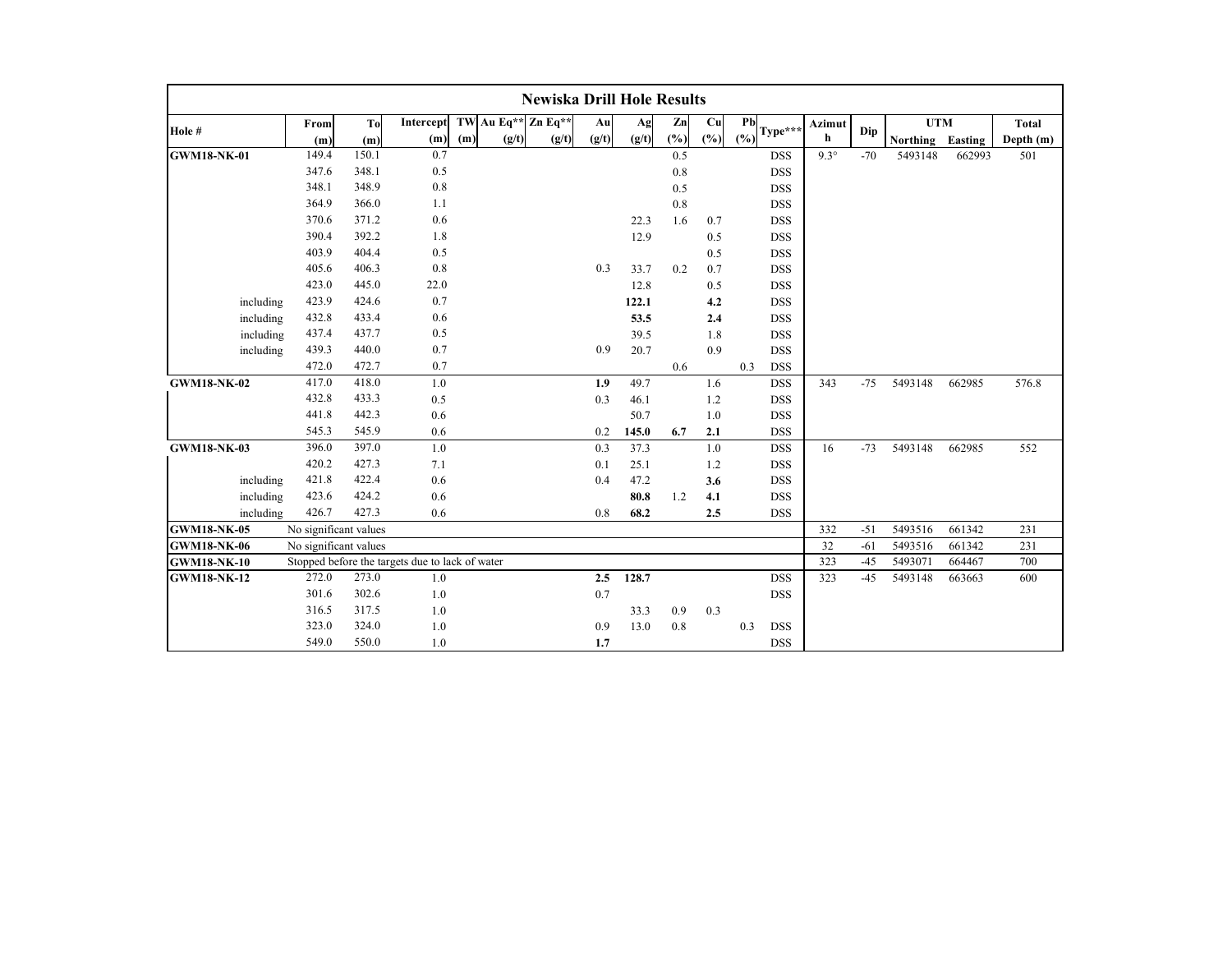|                    | <b>Newiska Drill Hole Results</b> |                |                                                 |     |                    |       |       |       |        |     |     |            |             |       |                  |        |              |
|--------------------|-----------------------------------|----------------|-------------------------------------------------|-----|--------------------|-------|-------|-------|--------|-----|-----|------------|-------------|-------|------------------|--------|--------------|
|                    | From                              | T <sub>0</sub> | Intercept                                       |     | TW Au Eq** Zn Eq** |       | Au    | Ag    | Zn     | Cu  | Pb  |            | Azimut      |       | <b>UTM</b>       |        | <b>Total</b> |
| Hole #             | (m)                               | (m)            | (m)                                             | (m) | (g/t)              | (g/t) | (g/t) | (g/t) | $(\%)$ | (%) | (%) | $Type***$  | h           | Dip   | Northing Easting |        | Depth $(m)$  |
| <b>GWM18-NK-01</b> | 149.4                             | 150.1          | 0.7                                             |     |                    |       |       |       | 0.5    |     |     | <b>DSS</b> | $9.3^\circ$ | $-70$ | 5493148          | 662993 | 501          |
|                    | 347.6                             | 348.1          | 0.5                                             |     |                    |       |       |       | 0.8    |     |     | <b>DSS</b> |             |       |                  |        |              |
|                    | 348.1                             | 348.9          | $0.8\,$                                         |     |                    |       |       |       | 0.5    |     |     | <b>DSS</b> |             |       |                  |        |              |
|                    | 364.9                             | 366.0          | 1.1                                             |     |                    |       |       |       | 0.8    |     |     | <b>DSS</b> |             |       |                  |        |              |
|                    | 370.6                             | 371.2          | 0.6                                             |     |                    |       |       | 22.3  | 1.6    | 0.7 |     | <b>DSS</b> |             |       |                  |        |              |
|                    | 390.4                             | 392.2          | 1.8                                             |     |                    |       |       | 12.9  |        | 0.5 |     | <b>DSS</b> |             |       |                  |        |              |
|                    | 403.9                             | 404.4          | 0.5                                             |     |                    |       |       |       |        | 0.5 |     | <b>DSS</b> |             |       |                  |        |              |
|                    | 405.6                             | 406.3          | 0.8                                             |     |                    |       | 0.3   | 33.7  | 0.2    | 0.7 |     | <b>DSS</b> |             |       |                  |        |              |
|                    | 423.0                             | 445.0          | 22.0                                            |     |                    |       |       | 12.8  |        | 0.5 |     | <b>DSS</b> |             |       |                  |        |              |
| including          | 423.9                             | 424.6          | 0.7                                             |     |                    |       |       | 122.1 |        | 4.2 |     | <b>DSS</b> |             |       |                  |        |              |
| including          | 432.8                             | 433.4          | 0.6                                             |     |                    |       |       | 53.5  |        | 2.4 |     | <b>DSS</b> |             |       |                  |        |              |
| including          | 437.4                             | 437.7          | 0.5                                             |     |                    |       |       | 39.5  |        | 1.8 |     | <b>DSS</b> |             |       |                  |        |              |
| including          | 439.3                             | 440.0          | 0.7                                             |     |                    |       | 0.9   | 20.7  |        | 0.9 |     | <b>DSS</b> |             |       |                  |        |              |
|                    | 472.0                             | 472.7          | 0.7                                             |     |                    |       |       |       | 0.6    |     | 0.3 | <b>DSS</b> |             |       |                  |        |              |
| <b>GWM18-NK-02</b> | 417.0                             | 418.0          | 1.0                                             |     |                    |       | 1.9   | 49.7  |        | 1.6 |     | <b>DSS</b> | 343         | $-75$ | 5493148          | 662985 | 576.8        |
|                    | 432.8                             | 433.3          | 0.5                                             |     |                    |       | 0.3   | 46.1  |        | 1.2 |     | <b>DSS</b> |             |       |                  |        |              |
|                    | 441.8                             | 442.3          | 0.6                                             |     |                    |       |       | 50.7  |        | 1.0 |     | <b>DSS</b> |             |       |                  |        |              |
|                    | 545.3                             | 545.9          | 0.6                                             |     |                    |       | 0.2   | 145.0 | 6.7    | 2.1 |     | <b>DSS</b> |             |       |                  |        |              |
| <b>GWM18-NK-03</b> | 396.0                             | 397.0          | 1.0                                             |     |                    |       | 0.3   | 37.3  |        | 1.0 |     | <b>DSS</b> | 16          | $-73$ | 5493148          | 662985 | 552          |
|                    | 420.2                             | 427.3          | 7.1                                             |     |                    |       | 0.1   | 25.1  |        | 1.2 |     | <b>DSS</b> |             |       |                  |        |              |
| including          | 421.8                             | 422.4          | 0.6                                             |     |                    |       | 0.4   | 47.2  |        | 3.6 |     | <b>DSS</b> |             |       |                  |        |              |
| including          | 423.6                             | 424.2          | 0.6                                             |     |                    |       |       | 80.8  | 1.2    | 4.1 |     | <b>DSS</b> |             |       |                  |        |              |
| including          | 426.7                             | 427.3          | 0.6                                             |     |                    |       | 0.8   | 68.2  |        | 2.5 |     | <b>DSS</b> |             |       |                  |        |              |
| <b>GWM18-NK-05</b> | No significant values             |                |                                                 |     |                    |       |       |       |        |     |     |            | 332         | $-51$ | 5493516          | 661342 | 231          |
| <b>GWM18-NK-06</b> | No significant values             |                |                                                 |     |                    |       |       |       |        |     |     |            | 32          | $-61$ | 5493516          | 661342 | 231          |
| <b>GWM18-NK-10</b> |                                   |                | Stopped before the targets due to lack of water |     |                    |       |       |       |        |     |     |            | 323         | $-45$ | 5493071          | 664467 | 700          |
| <b>GWM18-NK-12</b> | 272.0                             | 273.0          | 1.0                                             |     |                    |       | 2.5   | 128.7 |        |     |     | <b>DSS</b> | 323         | $-45$ | 5493148          | 663663 | 600          |
|                    | 301.6                             | 302.6          | 1.0                                             |     |                    |       | 0.7   |       |        |     |     | <b>DSS</b> |             |       |                  |        |              |
|                    | 316.5                             | 317.5          | 1.0                                             |     |                    |       |       | 33.3  | 0.9    | 0.3 |     |            |             |       |                  |        |              |
|                    | 323.0                             | 324.0          | 1.0                                             |     |                    |       | 0.9   | 13.0  | 0.8    |     | 0.3 | <b>DSS</b> |             |       |                  |        |              |
|                    | 549.0                             | 550.0          | 1.0                                             |     |                    |       | 1.7   |       |        |     |     | <b>DSS</b> |             |       |                  |        |              |